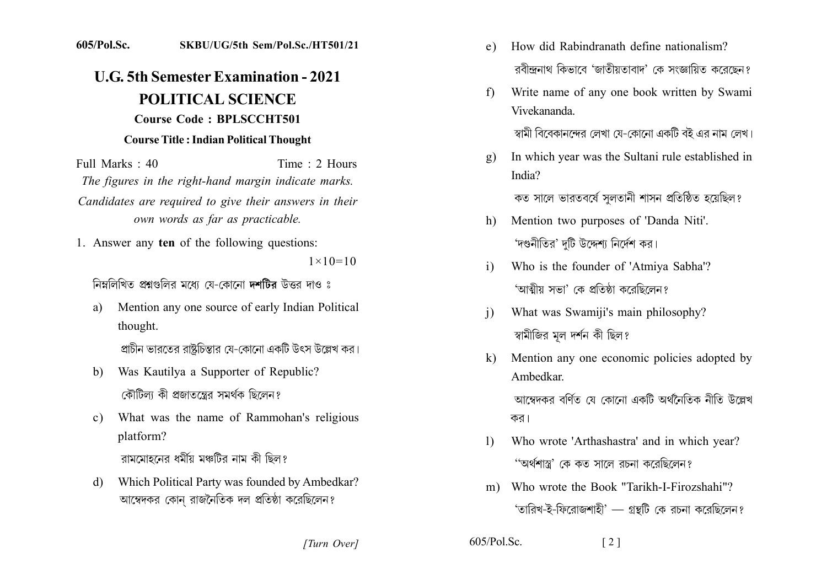## 605/Pol.Sc. SKBU/UG/5th Sem/Pol.Sc./HT501/21

## **U.G. 5th Semester Examination - 2021 POLITICAL SCIENCE Course Code: BPLSCCHT501 Course Title: Indian Political Thought**

Time: 2 Hours Full Marks: 40 The figures in the right-hand margin indicate marks. Candidates are required to give their answers in their own words as far as practicable.

1. Answer any ten of the following questions:

 $1 \times 10 = 10$ 

নিম্নলিখিত প্রশ্নগুলির মধ্যে যে-কোনো দশটির উত্তর দাও ঃ

Mention any one source of early Indian Political a) thought.

প্রাচীন ভারতের রাষ্টচিন্তার যে-কোনো একটি উৎস উল্লেখ কর।

- Was Kautilya a Supporter of Republic? b) কৌটিলা কী প্রজাতন্ত্রের সমর্থক ছিলেন?
- What was the name of Rammohan's religious  $\mathbf{c}$ ) platform?

রামমোহনের ধর্মীয় মঞ্চটির নাম কী ছিল?

Which Political Party was founded by Ambedkar? d) আম্বেদকর কোন্ রাজনৈতিক দল প্রতিষ্ঠা করেছিলেন?

- How did Rabindranath define nationalism?  $e)$ রবীন্দ্রনাথ কিভাবে 'জাতীয়তাবাদ' কে সংজ্ঞায়িত করেছেন?
- Write name of any one book written by Swami  $f$ Vivekananda

স্বামী বিবেকানন্দের লেখা য়ে-কোনো একটি বই এর নাম লেখ।

In which year was the Sultani rule established in  $g)$ India?

কত সালে ভারতবর্ষে সুলতানী শাসন প্রতিষ্ঠিত হয়েছিল?

- Mention two purposes of 'Danda Niti'. h) 'দণ্ডনীতির' দটি উদ্দেশ্য নির্দেশ কর।
- Who is the founder of 'Atmiya Sabha'?  $\mathbf{i}$ 'আত্মীয় সভা' কে প্ৰতিষ্ঠা কবেছিলেন?
- What was Swamiji's main philosophy?  $\mathbf{i}$ স্বামীজির মল দর্শন কী ছিল?
- $\mathbf{k}$ Mention any one economic policies adopted by Ambedkar

আম্বেদকব বৰ্ণিত যে কোনো একটি অৰ্থনৈতিক নীতি উল্লেখ কর।

- Who wrote 'Arthashastra' and in which year?  $\mathbf{D}$ ''অৰ্থশাস্ত্ৰ' কে কত সালে রচনা করেছিলেন?
- Who wrote the Book "Tarikh-I-Firozshahi"?  $m$ ) 'তারিখ-ই-ফিরোজশাহী' – গ্রন্থটি কে রচনা করেছিলেন?

 $\lceil 2 \rceil$ 

[Turn Over]

 $605/P<sub>o</sub>l$ . Sc.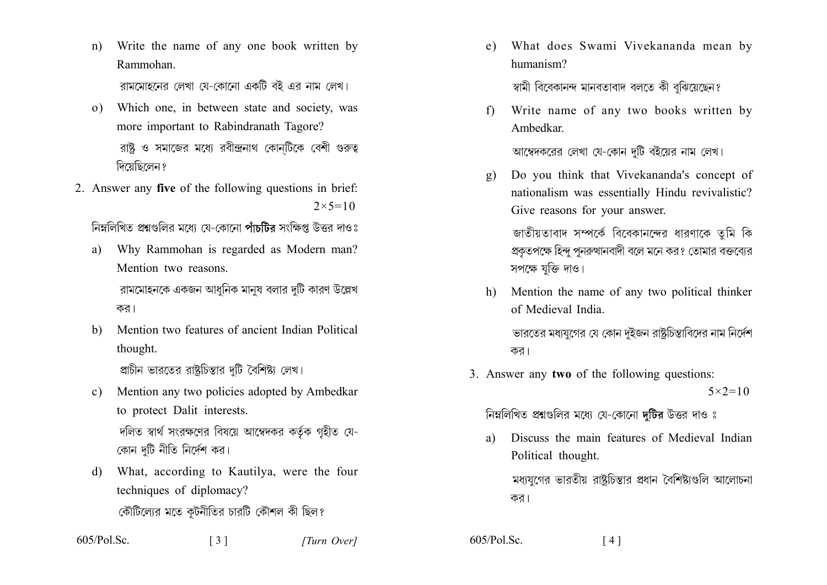Write the name of any one book written by  $n)$ Rammohan

রামমোহনের লেখা যে-কোনো একটি বই এর নাম লেখ।

- Which one, in between state and society, was  $\Omega$ more important to Rabindranath Tagore? রাষ্ট ও সমাজের মধ্যে রবীন্দ্রনাথ কোনটিকে বেশী গুরুত্ব দিয়েছিলেন ?
- 2. Answer any five of the following questions in brief:  $2 \times 5 = 10$

নিম্নলিখিত প্ৰশ্নংগলিব মধ্যে যে-কোনো পাঁচটিৰ সংক্ষিপ্ত উত্তৰ দাওঃ

Why Rammohan is regarded as Modern man? a) Mention two reasons

রামমোহনকে একজন আধুনিক মানুষ বলার দুটি কারণ উল্লেখ কর।

Mention two features of ancient Indian Political  $h)$ thought.

প্রাচীন ভারতের রাষ্ট্রচিন্তার দটি বৈশিষ্ট্য লেখ।

- Mention any two policies adopted by Ambedkar  $\mathbf{c}$ ) to protect Dalit interests. দলিত স্বার্থ সংরক্ষণের বিষয়ে আম্বেদকর কর্তৃক গৃহীত যে-কোন দুটি নীতি নির্দেশ কর।
- What, according to Kautilya, were the four d) techniques of diplomacy? কৌটিল্যের মতে কূটনীতির চারটি কৌশল কী ছিল?

 $\begin{bmatrix} 3 \end{bmatrix}$ 

What does Swami Vivekananda mean by e) humanism?

স্বামী বিবেকানন্দ মানবতাবাদ বলতে কী বঝিয়েছেন?

Write name of any two books written by  $f$ Ambedkar

আম্বেদকরের লেখা যে-কোন দুটি বইয়ের নাম লেখ।

Do you think that Vivekananda's concept of  $\alpha$ ) nationalism was essentially Hindu revivalistic? Give reasons for your answer.

জাতীয়তাবাদ সম্পর্কে বিবেকানন্দের ধারণাকে তমি কি প্রকতপক্ষে হিন্দ পনরুত্থানবাদী বলে মনে কর? তোমার বক্তব্যের সপক্ষে যক্তি দাও।

Mention the name of any two political thinker  $h)$ of Medieval India

ভারতের মধ্যযুগের যে কোন দুইজন রাষ্ট্রচিন্তাবিদের নাম নির্দেশ কর।

3. Answer any two of the following questions:  $5 \times 2 = 10$ 

নিম্নলিখিত প্রশ্নগুলির মধ্যে যে-কোনো দুটির উত্তর দাও ঃ

Discuss the main features of Medieval Indian a) Political thought.

মধ্যযুগের ভারতীয় রাষ্ট্রচিন্তার প্রধান বৈশিষ্ট্যগুলি আলোচনা কর।

605/Pol.Sc.

605/Pol.Sc.  $\lceil 4 \rceil$